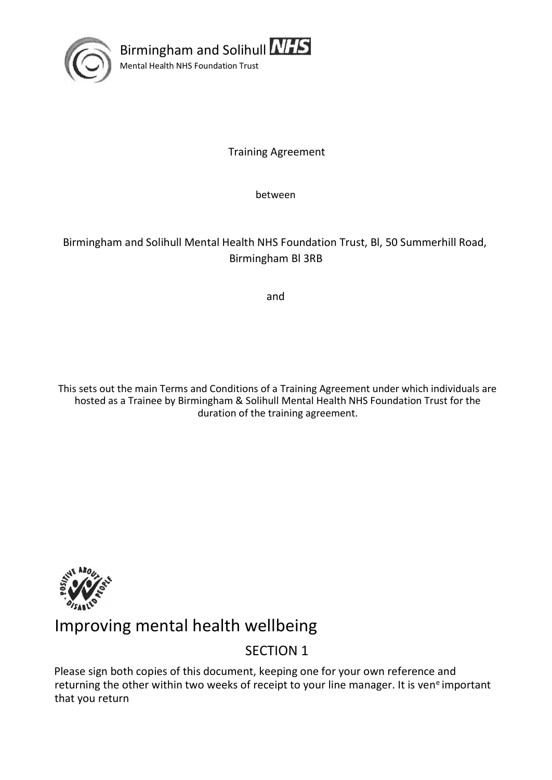

Birmingham and Solihull **NHS** Mental Health NHS Foundation Trust

Training Agreement

between

### Birmingham and Solihull Mental Health NHS Foundation Trust, Bl, 50 Summerhill Road, Birmingham Bl 3RB

and

This sets out the main Terms and Conditions of a Training Agreement under which individuals are hosted as a Trainee by Birmingham & Solihull Mental Health NHS Foundation Trust for the duration of the training agreement.



# Improving mental health wellbeing

## SECTION 1

Please sign both copies of this document, keeping one for your own reference and returning the other within two weeks of receipt to your line manager. It is ven<sup>e</sup> important that you return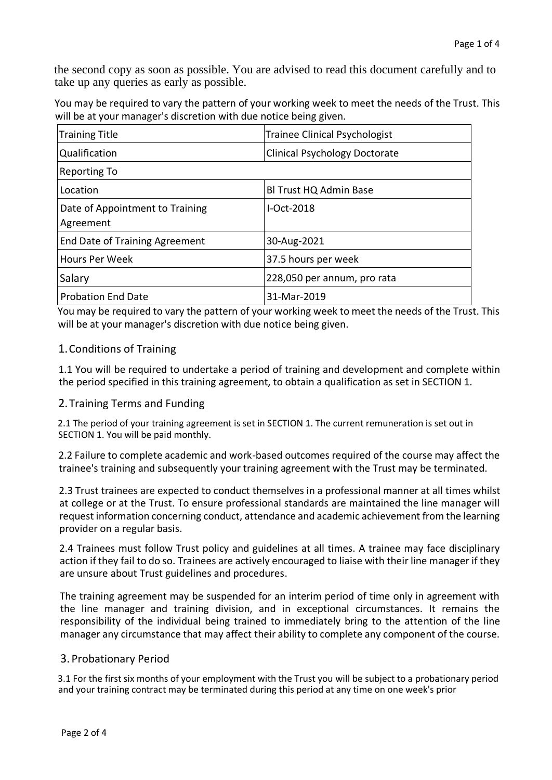the second copy as soon as possible. You are advised to read this document carefully and to take up any queries as early as possible.

You may be required to vary the pattern of your working week to meet the needs of the Trust. This will be at your manager's discretion with due notice being given.

| <b>Training Title</b>                        | <b>Trainee Clinical Psychologist</b> |
|----------------------------------------------|--------------------------------------|
| Qualification                                | <b>Clinical Psychology Doctorate</b> |
| Reporting To                                 |                                      |
| Location                                     | BI Trust HQ Admin Base               |
| Date of Appointment to Training<br>Agreement | $I-Ort-2018$                         |
| End Date of Training Agreement               | 30-Aug-2021                          |
| Hours Per Week                               | 37.5 hours per week                  |
| Salary                                       | 228,050 per annum, pro rata          |
| <b>Probation End Date</b>                    | 31-Mar-2019                          |

You may be required to vary the pattern of your working week to meet the needs of the Trust. This will be at your manager's discretion with due notice being given.

#### 1.Conditions of Training

1.1 You will be required to undertake a period of training and development and complete within the period specified in this training agreement, to obtain a qualification as set in SECTION 1.

#### 2.Training Terms and Funding

2.1 The period of your training agreement is set in SECTION 1. The current remuneration is set out in SECTION 1. You will be paid monthly.

2.2 Failure to complete academic and work-based outcomes required of the course may affect the trainee's training and subsequently your training agreement with the Trust may be terminated.

2.3 Trust trainees are expected to conduct themselves in a professional manner at all times whilst at college or at the Trust. To ensure professional standards are maintained the line manager will request information concerning conduct, attendance and academic achievement from the learning provider on a regular basis.

2.4 Trainees must follow Trust policy and guidelines at all times. A trainee may face disciplinary action if they fail to do so. Trainees are actively encouraged to liaise with their line manager if they are unsure about Trust guidelines and procedures.

The training agreement may be suspended for an interim period of time only in agreement with the line manager and training division, and in exceptional circumstances. It remains the responsibility of the individual being trained to immediately bring to the attention of the line manager any circumstance that may affect their ability to complete any component of the course.

#### 3. Probationary Period

3.1 For the first six months of your employment with the Trust you will be subject to a probationary period and your training contract may be terminated during this period at any time on one week's prior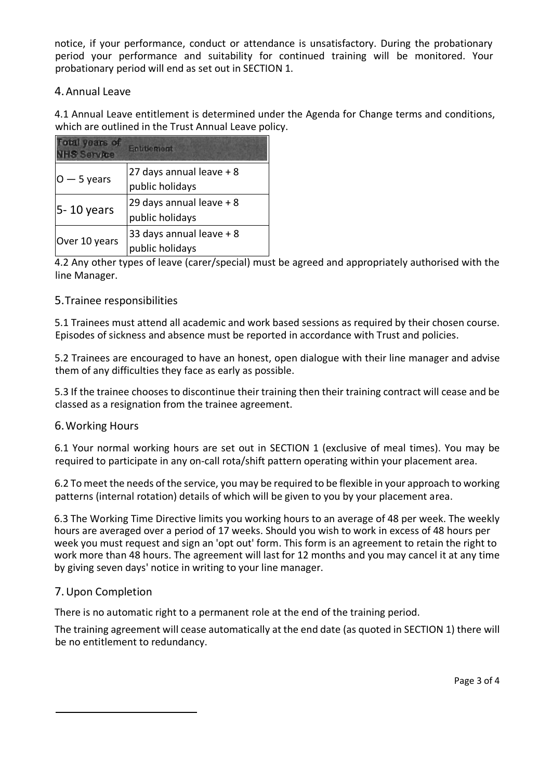notice, if your performance, conduct or attendance is unsatisfactory. During the probationary period your performance and suitability for continued training will be monitored. Your probationary period will end as set out in SECTION 1.

#### 4.Annual Leave

4.1 Annual Leave entitlement is determined under the Agenda for Change terms and conditions, which are outlined in the Trust Annual Leave policy.

| otal years of<br><b>HS Service</b> | Entitiement                                 |
|------------------------------------|---------------------------------------------|
| $0 - 5$ years                      | 27 days annual leave + 8<br>public holidays |
| 5 - 10 years                       | 29 days annual leave + 8<br>public holidays |
| Over 10 years                      | 33 days annual leave + 8<br>public holidays |

4.2 Any other types of leave (carer/special) must be agreed and appropriately authorised with the line Manager.

#### 5.Trainee responsibilities

5.1 Trainees must attend all academic and work based sessions as required by their chosen course. Episodes of sickness and absence must be reported in accordance with Trust and policies.

5.2 Trainees are encouraged to have an honest, open dialogue with their line manager and advise them of any difficulties they face as early as possible.

5.3 If the trainee chooses to discontinue their training then their training contract will cease and be classed as a resignation from the trainee agreement.

#### 6.Working Hours

6.1 Your normal working hours are set out in SECTION 1 (exclusive of meal times). You may be required to participate in any on-call rota/shift pattern operating within your placement area.

6.2 To meet the needs of the service, you may be required to be flexible in your approach to working patterns (internal rotation) details of which will be given to you by your placement area.

6.3 The Working Time Directive limits you working hours to an average of 48 per week. The weekly hours are averaged over a period of 17 weeks. Should you wish to work in excess of 48 hours per week you must request and sign an 'opt out' form. This form is an agreement to retain the right to work more than 48 hours. The agreement will last for 12 months and you may cancel it at any time by giving seven days' notice in writing to your line manager.

#### 7.Upon Completion

There is no automatic right to a permanent role at the end of the training period.

The training agreement will cease automatically at the end date (as quoted in SECTION 1) there will be no entitlement to redundancy.